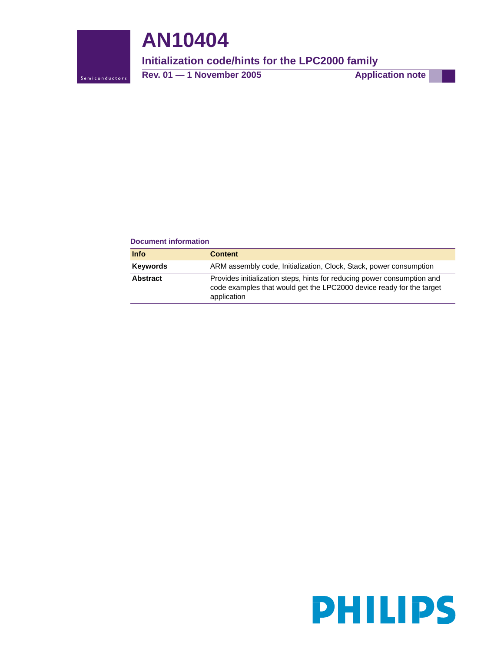

# **AN10404**

# **Initialization code/hints for the LPC2000 family**

**Rev. 01 – 1 November 2005** Application note

### **Document information**

| <b>Info</b>     | <b>Content</b>                                                                                                                                                 |
|-----------------|----------------------------------------------------------------------------------------------------------------------------------------------------------------|
| <b>Keywords</b> | ARM assembly code, Initialization, Clock, Stack, power consumption                                                                                             |
| <b>Abstract</b> | Provides initialization steps, hints for reducing power consumption and<br>code examples that would get the LPC2000 device ready for the target<br>application |

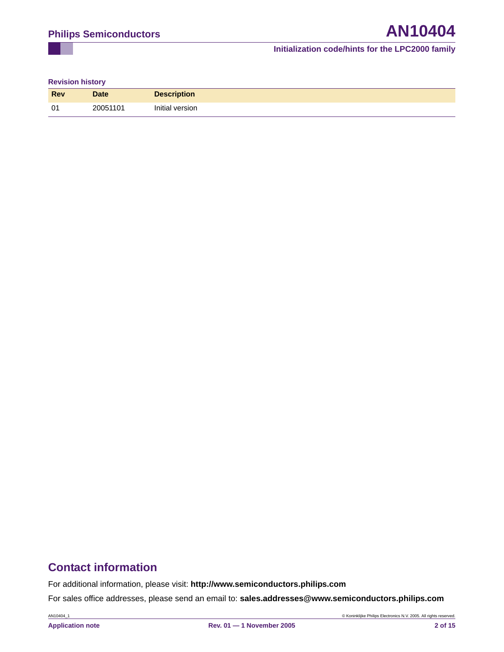**Revision history**

| <b>Rev</b>     | <b>Date</b> | <b>Description</b> |
|----------------|-------------|--------------------|
| 0 <sup>1</sup> | 20051101    | Initial version    |

# **Contact information**

For additional information, please visit: **http://www.semiconductors.philips.com**

For sales office addresses, please send an email to: **sales.addresses@www.semiconductors.philips.com**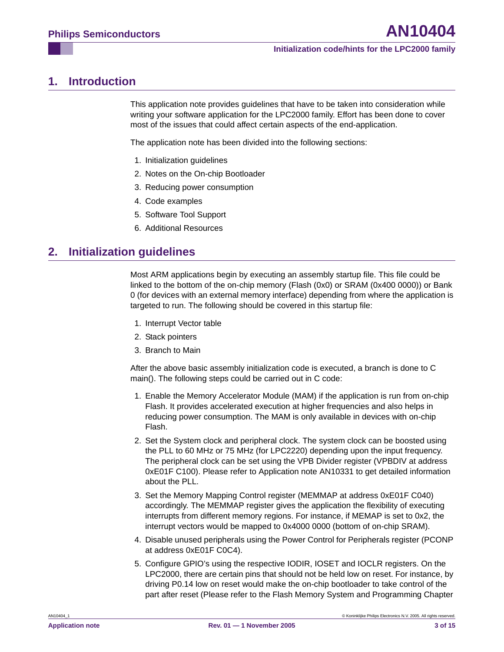# <span id="page-2-0"></span>**1. Introduction**

This application note provides guidelines that have to be taken into consideration while writing your software application for the LPC2000 family. Effort has been done to cover most of the issues that could affect certain aspects of the end-application.

The application note has been divided into the following sections:

- 1. Initialization guidelines
- 2. Notes on the On-chip Bootloader
- 3. Reducing power consumption
- 4. Code examples
- 5. Software Tool Support
- 6. Additional Resources

# <span id="page-2-1"></span>**2. Initialization guidelines**

Most ARM applications begin by executing an assembly startup file. This file could be linked to the bottom of the on-chip memory (Flash (0x0) or SRAM (0x400 0000)) or Bank 0 (for devices with an external memory interface) depending from where the application is targeted to run. The following should be covered in this startup file:

- 1. Interrupt Vector table
- 2. Stack pointers
- 3. Branch to Main

After the above basic assembly initialization code is executed, a branch is done to C main(). The following steps could be carried out in C code:

- 1. Enable the Memory Accelerator Module (MAM) if the application is run from on-chip Flash. It provides accelerated execution at higher frequencies and also helps in reducing power consumption. The MAM is only available in devices with on-chip Flash.
- 2. Set the System clock and peripheral clock. The system clock can be boosted using the PLL to 60 MHz or 75 MHz (for LPC2220) depending upon the input frequency. The peripheral clock can be set using the VPB Divider register (VPBDIV at address 0xE01F C100). Please refer to Application note AN10331 to get detailed information about the PLL.
- 3. Set the Memory Mapping Control register (MEMMAP at address 0xE01F C040) accordingly. The MEMMAP register gives the application the flexibility of executing interrupts from different memory regions. For instance, if MEMAP is set to 0x2, the interrupt vectors would be mapped to 0x4000 0000 (bottom of on-chip SRAM).
- 4. Disable unused peripherals using the Power Control for Peripherals register (PCONP at address 0xE01F C0C4).
- 5. Configure GPIO's using the respective IODIR, IOSET and IOCLR registers. On the LPC2000, there are certain pins that should not be held low on reset. For instance, by driving P0.14 low on reset would make the on-chip bootloader to take control of the part after reset (Please refer to the Flash Memory System and Programming Chapter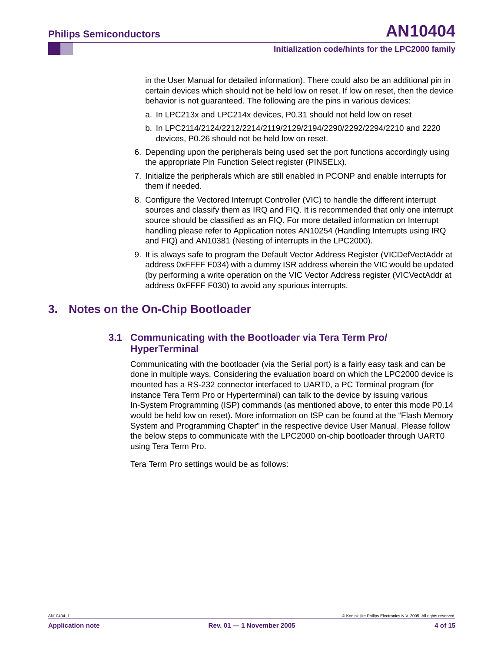in the User Manual for detailed information). There could also be an additional pin in certain devices which should not be held low on reset. If low on reset, then the device behavior is not guaranteed. The following are the pins in various devices:

- a. In LPC213x and LPC214x devices, P0.31 should not held low on reset
- b. In LPC2114/2124/2212/2214/2119/2129/2194/2290/2292/2294/2210 and 2220 devices, P0.26 should not be held low on reset.
- 6. Depending upon the peripherals being used set the port functions accordingly using the appropriate Pin Function Select register (PINSELx).
- 7. Initialize the peripherals which are still enabled in PCONP and enable interrupts for them if needed.
- 8. Configure the Vectored Interrupt Controller (VIC) to handle the different interrupt sources and classify them as IRQ and FIQ. It is recommended that only one interrupt source should be classified as an FIQ. For more detailed information on Interrupt handling please refer to Application notes AN10254 (Handling Interrupts using IRQ and FIQ) and AN10381 (Nesting of interrupts in the LPC2000).
- 9. It is always safe to program the Default Vector Address Register (VICDefVectAddr at address 0xFFFF F034) with a dummy ISR address wherein the VIC would be updated (by performing a write operation on the VIC Vector Address register (VICVectAddr at address 0xFFFF F030) to avoid any spurious interrupts.

# <span id="page-3-1"></span><span id="page-3-0"></span>**3. Notes on the On-Chip Bootloader**

# **3.1 Communicating with the Bootloader via Tera Term Pro/ HyperTerminal**

Communicating with the bootloader (via the Serial port) is a fairly easy task and can be done in multiple ways. Considering the evaluation board on which the LPC2000 device is mounted has a RS-232 connector interfaced to UART0, a PC Terminal program (for instance Tera Term Pro or Hyperterminal) can talk to the device by issuing various In-System Programming (ISP) commands (as mentioned above, to enter this mode P0.14 would be held low on reset). More information on ISP can be found at the "Flash Memory System and Programming Chapter" in the respective device User Manual. Please follow the below steps to communicate with the LPC2000 on-chip bootloader through UART0 using Tera Term Pro.

Tera Term Pro settings would be as follows: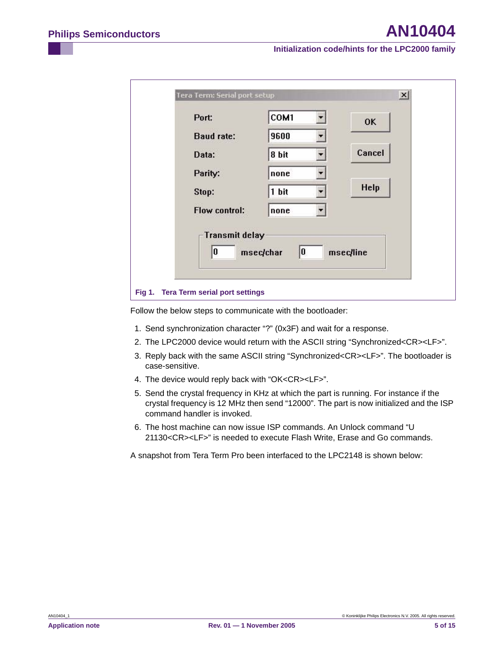| Tera Term: Serial port setup          |           | $\mathbf{x}$ |
|---------------------------------------|-----------|--------------|
| Port:                                 | COM1      | 0K           |
| <b>Baud rate:</b>                     | 9600      |              |
| Data:                                 | 8 bit     | Cancel       |
| Parity:                               | none      |              |
| Stop:                                 | 1 bit     | Help         |
| Flow control:                         | none      |              |
| <b>Transmit delay</b><br>10           | 0         |              |
|                                       | msec/char | msec/line    |
| Fig 1. Tera Term serial port settings |           |              |

Follow the below steps to communicate with the bootloader:

- 1. Send synchronization character "?" (0x3F) and wait for a response.
- 2. The LPC2000 device would return with the ASCII string "Synchronized<CR><LF>".
- 3. Reply back with the same ASCII string "Synchronized<CR><LF>". The bootloader is case-sensitive.
- 4. The device would reply back with "OK<CR><LF>".
- 5. Send the crystal frequency in KHz at which the part is running. For instance if the crystal frequency is 12 MHz then send "12000". The part is now initialized and the ISP command handler is invoked.
- 6. The host machine can now issue ISP commands. An Unlock command "U 21130<CR><LF>" is needed to execute Flash Write, Erase and Go commands.

A snapshot from Tera Term Pro been interfaced to the LPC2148 is shown below: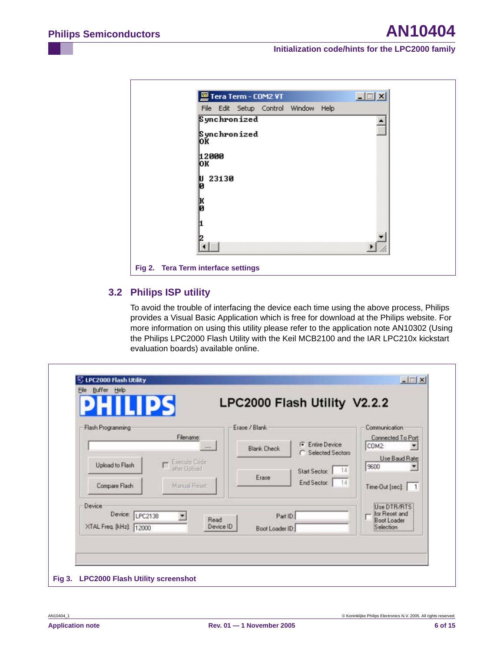|                                     | Tera Term - COM2 VT                 |  |  |  |
|-------------------------------------|-------------------------------------|--|--|--|
|                                     | File Edit Setup Control Window Help |  |  |  |
|                                     | Synchronized                        |  |  |  |
| ЮK                                  | Synchronized                        |  |  |  |
| 12000<br>þк                         |                                     |  |  |  |
| Й                                   | 23130                               |  |  |  |
|                                     |                                     |  |  |  |
|                                     |                                     |  |  |  |
|                                     |                                     |  |  |  |
| Fig 2. Tera Term interface settings |                                     |  |  |  |

# <span id="page-5-0"></span>**3.2 Philips ISP utility**

To avoid the trouble of interfacing the device each time using the above process, Philips provides a Visual Basic Application which is free for download at the Philips website. For more information on using this utility please refer to the application note AN10302 (Using the Philips LPC2000 Flash Utility with the Keil MCB2100 and the IAR LPC210x kickstart evaluation boards) available online.

| Flash Programming                |                              | Erase / Blank               |                                            | Communication                |
|----------------------------------|------------------------------|-----------------------------|--------------------------------------------|------------------------------|
|                                  | Filename:<br>$***$           | <b>Blank Check</b>          | <b>C</b> Entire Device<br>Selected Sectors | Connected To Port:<br>COM2   |
| Upload to Flash                  | Execute Code<br>after Upload |                             | $-14$<br>Start Sector:                     | Use Baud Rate:<br>9600       |
| Compare Flash                    | Manual Reset                 | Erase                       | End Sector:<br>$-14$                       | Time-Out [sec]: 1            |
| <b>Device</b><br>Device: LPC2138 |                              |                             |                                            | Use DTR/RTS<br>for Reset and |
| XTAL Freq. [kHz]: 12000          | Read<br>Device ID            | Part ID:<br>Boot Loader ID: |                                            | Boot Loader<br>Selection     |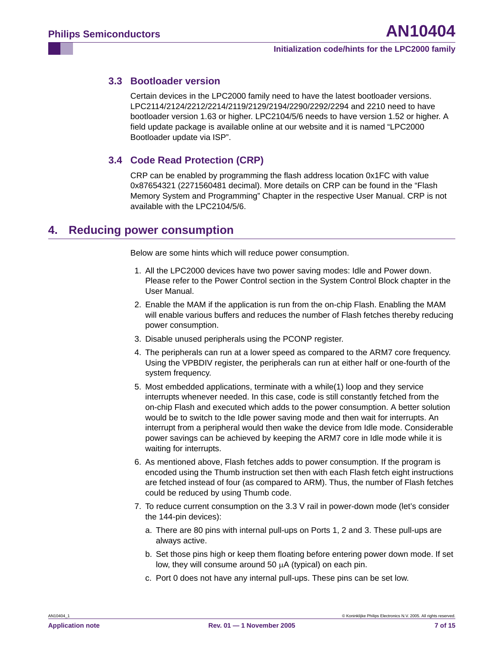# <span id="page-6-0"></span>**3.3 Bootloader version**

Certain devices in the LPC2000 family need to have the latest bootloader versions. LPC2114/2124/2212/2214/2119/2129/2194/2290/2292/2294 and 2210 need to have bootloader version 1.63 or higher. LPC2104/5/6 needs to have version 1.52 or higher. A field update package is available online at our website and it is named "LPC2000 Bootloader update via ISP".

# <span id="page-6-1"></span>**3.4 Code Read Protection (CRP)**

CRP can be enabled by programming the flash address location 0x1FC with value 0x87654321 (2271560481 decimal). More details on CRP can be found in the "Flash Memory System and Programming" Chapter in the respective User Manual. CRP is not available with the LPC2104/5/6.

# <span id="page-6-2"></span>**4. Reducing power consumption**

Below are some hints which will reduce power consumption.

- 1. All the LPC2000 devices have two power saving modes: Idle and Power down. Please refer to the Power Control section in the System Control Block chapter in the User Manual.
- 2. Enable the MAM if the application is run from the on-chip Flash. Enabling the MAM will enable various buffers and reduces the number of Flash fetches thereby reducing power consumption.
- 3. Disable unused peripherals using the PCONP register.
- 4. The peripherals can run at a lower speed as compared to the ARM7 core frequency. Using the VPBDIV register, the peripherals can run at either half or one-fourth of the system frequency.
- 5. Most embedded applications, terminate with a while(1) loop and they service interrupts whenever needed. In this case, code is still constantly fetched from the on-chip Flash and executed which adds to the power consumption. A better solution would be to switch to the Idle power saving mode and then wait for interrupts. An interrupt from a peripheral would then wake the device from Idle mode. Considerable power savings can be achieved by keeping the ARM7 core in Idle mode while it is waiting for interrupts.
- 6. As mentioned above, Flash fetches adds to power consumption. If the program is encoded using the Thumb instruction set then with each Flash fetch eight instructions are fetched instead of four (as compared to ARM). Thus, the number of Flash fetches could be reduced by using Thumb code.
- 7. To reduce current consumption on the 3.3 V rail in power-down mode (let's consider the 144-pin devices):
	- a. There are 80 pins with internal pull-ups on Ports 1, 2 and 3. These pull-ups are always active.
	- b. Set those pins high or keep them floating before entering power down mode. If set low, they will consume around 50  $\mu$ A (typical) on each pin.
	- c. Port 0 does not have any internal pull-ups. These pins can be set low.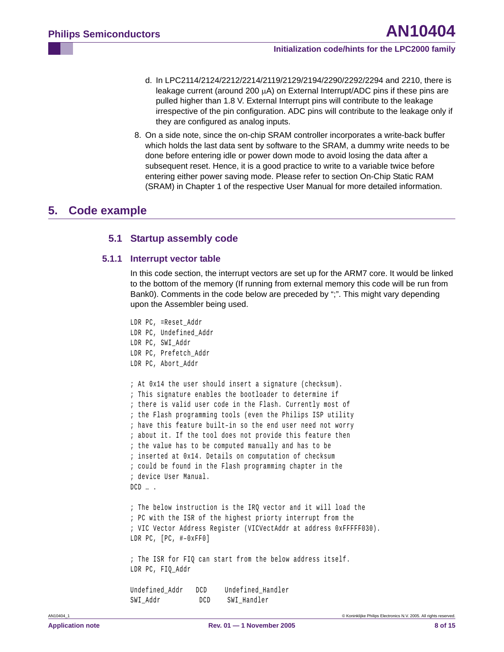- d. In LPC2114/2124/2212/2214/2119/2129/2194/2290/2292/2294 and 2210, there is leakage current (around 200  $\mu$ A) on External Interrupt/ADC pins if these pins are pulled higher than 1.8 V. External Interrupt pins will contribute to the leakage irrespective of the pin configuration. ADC pins will contribute to the leakage only if they are configured as analog inputs.
- 8. On a side note, since the on-chip SRAM controller incorporates a write-back buffer which holds the last data sent by software to the SRAM, a dummy write needs to be done before entering idle or power down mode to avoid losing the data after a subsequent reset. Hence, it is a good practice to write to a variable twice before entering either power saving mode. Please refer to section On-Chip Static RAM (SRAM) in Chapter 1 of the respective User Manual for more detailed information.

# <span id="page-7-2"></span><span id="page-7-1"></span><span id="page-7-0"></span>**5. Code example**

# **5.1 Startup assembly code**

#### **5.1.1 Interrupt vector table**

In this code section, the interrupt vectors are set up for the ARM7 core. It would be linked to the bottom of the memory (If running from external memory this code will be run from Bank0). Comments in the code below are preceded by ";". This might vary depending upon the Assembler being used.

```
LDR PC, =Reset_Addr
LDR PC, Undefined Addr
LDR PC, SWI_Addr
LDR PC, Prefetch_Addr
LDR PC, Abort Addr
; At 0x14 the user should insert a signature (checksum).
; This signature enables the bootloader to determine if
; there is valid user code in the Flash. Currently most of
; the Flash programming tools (even the Philips ISP utility
; have this feature built–in so the end user need not worry
; about it. If the tool does not provide this feature then
; the value has to be computed manually and has to be
; inserted at 0x14. Details on computation of checksum
; could be found in the Flash programming chapter in the
; device User Manual.
DCD … .
; The below instruction is the IRQ vector and it will load the 
; PC with the ISR of the highest priorty interrupt from the 
; VIC Vector Address Register (VICVectAddr at address 0xFFFFF030).
LDR PC, [PC, #–0xFF0]
; The ISR for FIQ can start from the below address itself.
LDR PC, FIQ_Addr
Undefined_Addr DCD Undefined_Handler
SWI_Addr DCD SWI_Handler
```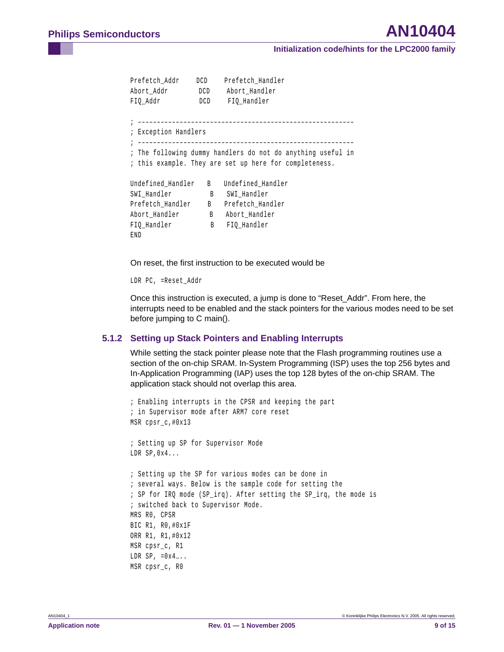```
Prefetch Addr DCD Prefetch Handler
Abort_Addr DCD Abort_Handler
FIQ Addr DCD FIQ Handler
; –––––––––––––––––––––––––––––––––––––––––––––––––––––––––
; Exception Handlers
; –––––––––––––––––––––––––––––––––––––––––––––––––––––––––
; The following dummy handlers do not do anything useful in
; this example. They are set up here for completeness.
Undefined_Handler B Undefined_Handler
SWI_Handler B SWI_Handler
Prefetch_Handler B Prefetch_Handler
Abort_Handler B Abort_Handler
FIQ_Handler B FIQ_Handler
END
```
On reset, the first instruction to be executed would be

LDR PC, =Reset\_Addr

Once this instruction is executed, a jump is done to "Reset\_Addr". From here, the interrupts need to be enabled and the stack pointers for the various modes need to be set before jumping to C main().

### <span id="page-8-0"></span>**5.1.2 Setting up Stack Pointers and Enabling Interrupts**

While setting the stack pointer please note that the Flash programming routines use a section of the on-chip SRAM. In-System Programming (ISP) uses the top 256 bytes and In-Application Programming (IAP) uses the top 128 bytes of the on-chip SRAM. The application stack should not overlap this area.

```
; Enabling interrupts in the CPSR and keeping the part 
; in Supervisor mode after ARM7 core reset
MSR cpsr_c,#0x13
; Setting up SP for Supervisor Mode
LDR SP,0x4...
; Setting up the SP for various modes can be done in 
; several ways. Below is the sample code for setting the
; SP for IRQ mode (SP_irq). After setting the SP_irq, the mode is 
; switched back to Supervisor Mode.
MRS R0, CPSR
BIC R1, R0,#0x1F
ORR R1, R1,#0x12
MSR cpsr_c, R1
LDR SP, =0x4....
MSR cpsr_c, R0
```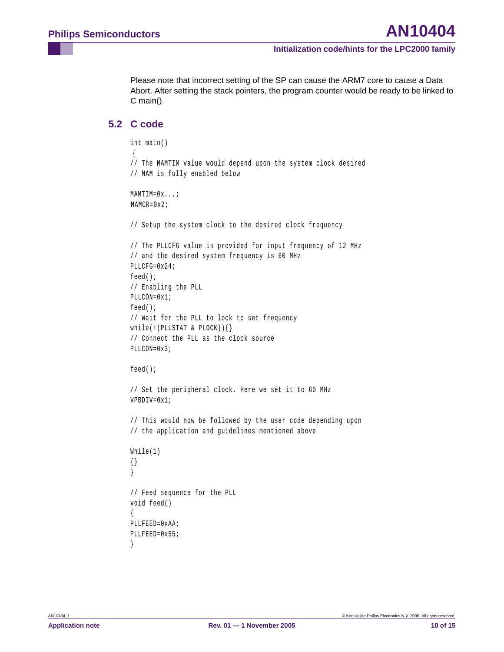Please note that incorrect setting of the SP can cause the ARM7 core to cause a Data Abort. After setting the stack pointers, the program counter would be ready to be linked to C main().

# <span id="page-9-0"></span>**5.2 C code**

```
int main()
 {
// The MAMTIM value would depend upon the system clock desired
// MAM is fully enabled below
MAMTIM=0x...;
MAMCR=0x2;
// Setup the system clock to the desired clock frequency
// The PLLCFG value is provided for input frequency of 12 MHz
// and the desired system frequency is 60 MHz
PLLCFG=0x24;
feed();
// Enabling the PLL 
PLLCON=0x1;
feed();
// Wait for the PLL to lock to set frequency 
while(!(PLLSTAT & PLOCK))\{\}// Connect the PLL as the clock source 
PLLCON=0x3;
feed();
// Set the peripheral clock. Here we set it to 60 MHz
VPBDIV=0x1;
// This would now be followed by the user code depending upon
// the application and guidelines mentioned above
While(1)
{}
}
// Feed sequence for the PLL
void feed()
{
PLLFEED=0xAA;
PLLFEED=0x55;
}
```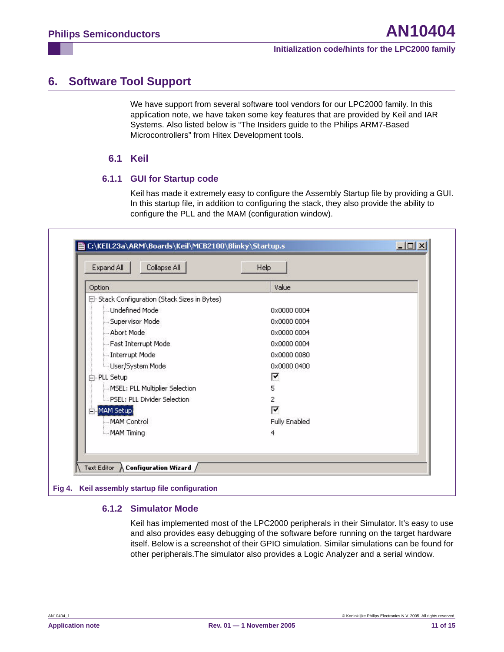# <span id="page-10-0"></span>**6. Software Tool Support**

We have support from several software tool vendors for our LPC2000 family. In this application note, we have taken some key features that are provided by Keil and IAR Systems. Also listed below is "The Insiders guide to the Philips ARM7-Based Microcontrollers" from Hitex Development tools.

# **6.1 Keil**

# <span id="page-10-1"></span>**6.1.1 GUI for Startup code**

Keil has made it extremely easy to configure the Assembly Startup file by providing a GUI. In this startup file, in addition to configuring the stack, they also provide the ability to configure the PLL and the MAM (configuration window).

<span id="page-10-2"></span>

### <span id="page-10-3"></span>**6.1.2 Simulator Mode**

Keil has implemented most of the LPC2000 peripherals in their Simulator. It's easy to use and also provides easy debugging of the software before running on the target hardware itself. Below is a screenshot of their GPIO simulation. Similar simulations can be found for other peripherals.The simulator also provides a Logic Analyzer and a serial window.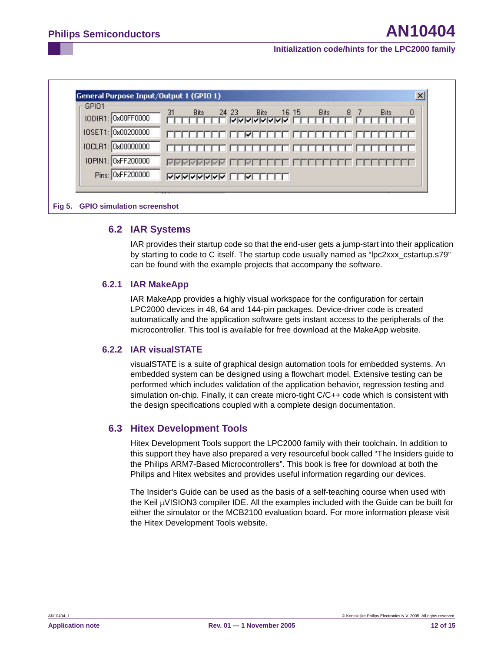| GPI01<br>IODIR1: 0x00FF0000 | 31<br>24 23<br><b>Bits</b><br><b>Bits</b><br>16 15<br><b>Bits</b><br>8<br><b>Bits</b><br>$\theta$ |
|-----------------------------|---------------------------------------------------------------------------------------------------|
|                             | <b>NAMAMAMA</b>                                                                                   |
| IOSET1: 0x00200000          |                                                                                                   |
| IOCLR1: 0x00000000          |                                                                                                   |
| IOPIN1: 0xFF200000          |                                                                                                   |
| Pins: 0xFF200000            | <b>NAMANAMA</b><br>⊮                                                                              |

#### <span id="page-11-0"></span>**Fig 5. GPIO simulation screenshot**

### **6.2 IAR Systems**

IAR provides their startup code so that the end-user gets a jump-start into their application by starting to code to C itself. The startup code usually named as "lpc2xxx\_cstartup.s79" can be found with the example projects that accompany the software.

### <span id="page-11-1"></span>**6.2.1 IAR MakeApp**

IAR MakeApp provides a highly visual workspace for the configuration for certain LPC2000 devices in 48, 64 and 144-pin packages. Device-driver code is created automatically and the application software gets instant access to the peripherals of the microcontroller. This tool is available for free download at the MakeApp website.

### <span id="page-11-2"></span>**6.2.2 IAR visualSTATE**

visualSTATE is a suite of graphical design automation tools for embedded systems. An embedded system can be designed using a flowchart model. Extensive testing can be performed which includes validation of the application behavior, regression testing and simulation on-chip. Finally, it can create micro-tight C/C++ code which is consistent with the design specifications coupled with a complete design documentation.

### <span id="page-11-3"></span>**6.3 Hitex Development Tools**

Hitex Development Tools support the LPC2000 family with their toolchain. In addition to this support they have also prepared a very resourceful book called "The Insiders guide to the Philips ARM7-Based Microcontrollers". This book is free for download at both the Philips and Hitex websites and provides useful information regarding our devices.

The Insider's Guide can be used as the basis of a self-teaching course when used with the Keil µVISION3 compiler IDE. All the examples included with the Guide can be built for either the simulator or the MCB2100 evaluation board. For more information please visit the Hitex Development Tools website.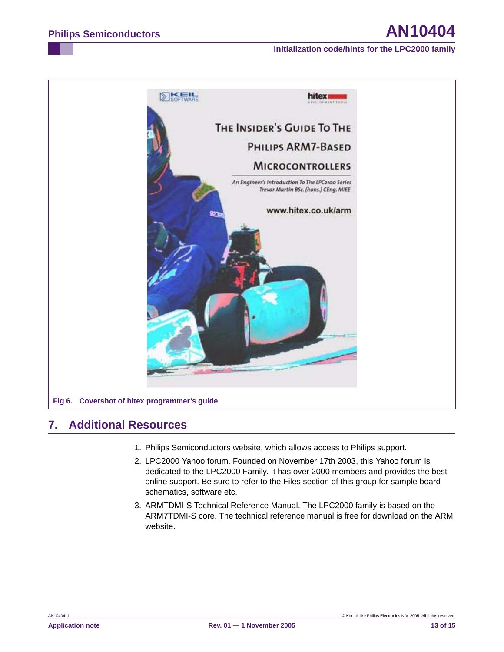

# <span id="page-12-0"></span>**7. Additional Resources**

- 1. Philips Semiconductors website, which allows access to Philips support.
- 2. LPC2000 Yahoo forum. Founded on November 17th 2003, this Yahoo forum is dedicated to the LPC2000 Family. It has over 2000 members and provides the best online support. Be sure to refer to the Files section of this group for sample board schematics, software etc.
- 3. ARMTDMI-S Technical Reference Manual. The LPC2000 family is based on the ARM7TDMI-S core. The technical reference manual is free for download on the ARM website.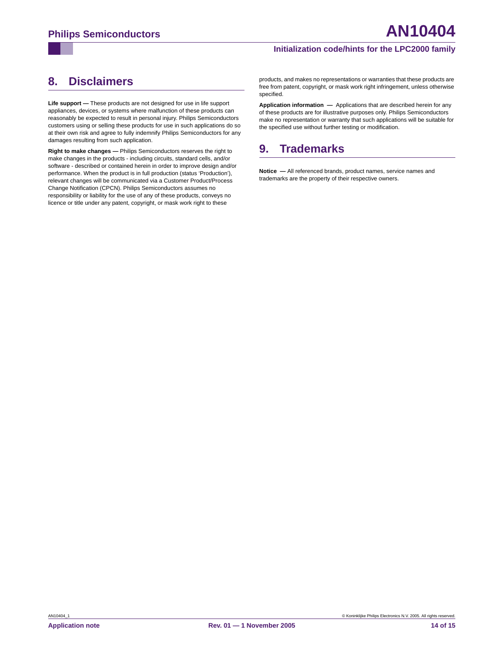# <span id="page-13-0"></span>**8. Disclaimers**

**Life support —** These products are not designed for use in life support appliances, devices, or systems where malfunction of these products can reasonably be expected to result in personal injury. Philips Semiconductors customers using or selling these products for use in such applications do so at their own risk and agree to fully indemnify Philips Semiconductors for any damages resulting from such application.

**Right to make changes —** Philips Semiconductors reserves the right to make changes in the products - including circuits, standard cells, and/or software - described or contained herein in order to improve design and/or performance. When the product is in full production (status 'Production'), relevant changes will be communicated via a Customer Product/Process Change Notification (CPCN). Philips Semiconductors assumes no responsibility or liability for the use of any of these products, conveys no licence or title under any patent, copyright, or mask work right to these

products, and makes no representations or warranties that these products are free from patent, copyright, or mask work right infringement, unless otherwise specified.

**Application information —** Applications that are described herein for any of these products are for illustrative purposes only. Philips Semiconductors make no representation or warranty that such applications will be suitable for the specified use without further testing or modification.

# <span id="page-13-1"></span>**9. Trademarks**

**Notice —** All referenced brands, product names, service names and trademarks are the property of their respective owners.